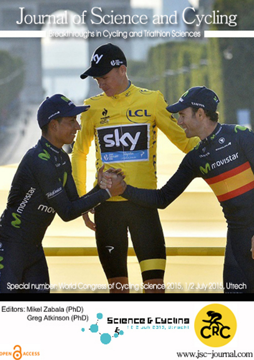## Journal of Science and Cycling

Breakthroughs in Cycling and Triathlon Sciences



Editors: Mikel Zabala (PhD) Greg Atkinson (PhD)

OPEN CACCESS





www.jsc-journal.com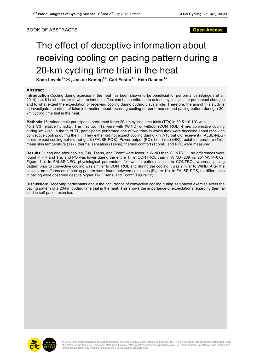## The effect of deceptive information about receiving cooling on pacing pattern during a 20-km cycling time trial in the heat

**Koen Levels1,2**\***, Jos de Koning1,3, Carl Foster1,3, Hein Daanen1,2**

## **Abstract**

**Introduction** Cooling during exercise in the heat has been shown to be beneficial for performance (Bongers et al. 2014), but it is still unclear to what extent this effect can be contributed to actual physiological or perceptual changes and to what extent the expectation of receiving cooling during cycling plays a role. Therefore, the aim of this study is to investigate the effect of false information about receiving cooling on performance and pacing pattern during a 20 km cycling time trial in the heat.

**Methods** 16 trained male participants performed three 20-km cycling time trials (TTs) in 30.5 ± 0.1°C with 45 ± 3% relative humidity. The first two TTs were with (WIND) or without (CONTROL) 4 m/s convective cooling during km 7-13. In the third TT, participants performed one of two trials in which they were deceived about receiving convective cooling during the TT. They either did not expect cooling during km 7-13 but did receive it (FALSE-NEG) or did expect cooling but did not get it (FALSE-POS). Power output (PO), heart rate (HR), rectal temperature (Tre), mean skin temperature (Tsk), thermal sensation (Tsens), thermal comfort (Tcomf), and RPE were measured.

**Results** During and after cooling, Tsk, Tsens, and Tcomf were lower in WIND than CONTROL, no differences were found in HR and Tre, and PO was lower during the entire TT in CONTROL than in WIND (239 vs. 251 W; P=0.02; Figure 1a). In FALSE-NEG, physiological parameters followed a pattern similar to CONTROL whereas pacing pattern prior to convective cooling was similar to CONTROL and during the cooling it was similar to WIND. After the cooling, no differences in pacing pattern were found between conditions (Figure 1b). In FALSE-POS, no differences in pacing were observed despite higher Tsk, Tsens, and Tcomf (Figure 1c).

**Discussion:** Deceiving participants about the occurrence of convective cooling during self-paced exercise alters the pacing pattern of a 20-km cycling time trial in the heat. This shows the importance of expectations regarding thermal load in self-paced exercise.